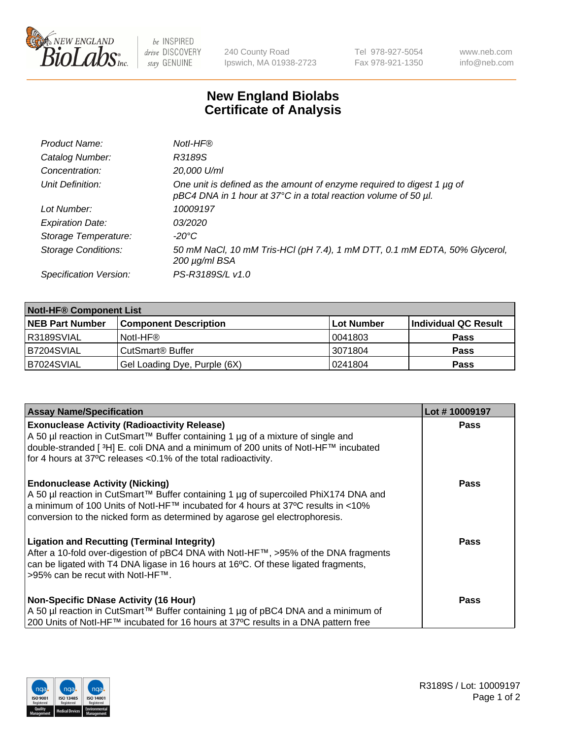

 $be$  INSPIRED drive DISCOVERY stay GENUINE

240 County Road Ipswich, MA 01938-2723 Tel 978-927-5054 Fax 978-921-1350 www.neb.com info@neb.com

## **New England Biolabs Certificate of Analysis**

| Product Name:              | Notl-HF®                                                                                                                                  |
|----------------------------|-------------------------------------------------------------------------------------------------------------------------------------------|
| Catalog Number:            | R3189S                                                                                                                                    |
| Concentration:             | 20,000 U/ml                                                                                                                               |
| Unit Definition:           | One unit is defined as the amount of enzyme required to digest 1 µg of<br>pBC4 DNA in 1 hour at 37°C in a total reaction volume of 50 µl. |
| Lot Number:                | 10009197                                                                                                                                  |
| <b>Expiration Date:</b>    | <i>03/2020</i>                                                                                                                            |
| Storage Temperature:       | -20°C                                                                                                                                     |
| <b>Storage Conditions:</b> | 50 mM NaCl, 10 mM Tris-HCl (pH 7.4), 1 mM DTT, 0.1 mM EDTA, 50% Glycerol,<br>200 µg/ml BSA                                                |
| Specification Version:     | PS-R3189S/L v1.0                                                                                                                          |

| <b>Notl-HF® Component List</b> |                              |            |                      |  |
|--------------------------------|------------------------------|------------|----------------------|--|
| <b>NEB Part Number</b>         | <b>Component Description</b> | Lot Number | Individual QC Result |  |
| I R3189SVIAL                   | Notl-HF®                     | 10041803   | <b>Pass</b>          |  |
| B7204SVIAL                     | CutSmart <sup>®</sup> Buffer | 13071804   | <b>Pass</b>          |  |
| IB7024SVIAL                    | Gel Loading Dye, Purple (6X) | 10241804   | <b>Pass</b>          |  |

| <b>Assay Name/Specification</b>                                                                                                                                                                                                                                                                    | Lot #10009197 |
|----------------------------------------------------------------------------------------------------------------------------------------------------------------------------------------------------------------------------------------------------------------------------------------------------|---------------|
| <b>Exonuclease Activity (Radioactivity Release)</b><br>  A 50 µl reaction in CutSmart™ Buffer containing 1 µg of a mixture of single and                                                                                                                                                           | <b>Pass</b>   |
| double-stranded [ <sup>3</sup> H] E. coli DNA and a minimum of 200 units of Notl-HF™ incubated<br>for 4 hours at 37°C releases <0.1% of the total radioactivity.                                                                                                                                   |               |
| <b>Endonuclease Activity (Nicking)</b><br>A 50 µl reaction in CutSmart™ Buffer containing 1 µg of supercoiled PhiX174 DNA and<br>  a minimum of 100 Units of Notl-HF™ incubated for 4 hours at 37°C results in <10%<br>conversion to the nicked form as determined by agarose gel electrophoresis. | <b>Pass</b>   |
| <b>Ligation and Recutting (Terminal Integrity)</b><br>After a 10-fold over-digestion of pBC4 DNA with Notl-HF™, >95% of the DNA fragments<br>can be ligated with T4 DNA ligase in 16 hours at 16 $\degree$ C. Of these ligated fragments,<br>1>95% can be recut with NotI-HF™.                     | Pass          |
| <b>Non-Specific DNase Activity (16 Hour)</b>                                                                                                                                                                                                                                                       | <b>Pass</b>   |
| A 50 µl reaction in CutSmart™ Buffer containing 1 µg of pBC4 DNA and a minimum of<br>200 Units of Notl-HF™ incubated for 16 hours at 37°C results in a DNA pattern free                                                                                                                            |               |